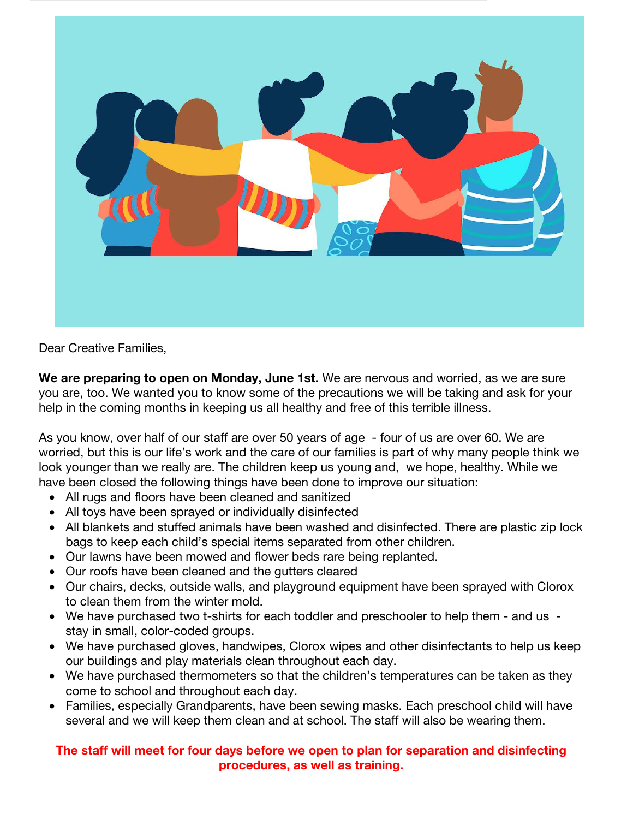

Dear Creative Families,

**We are preparing to open on Monday, June 1st.** We are nervous and worried, as we are sure you are, too. We wanted you to know some of the precautions we will be taking and ask for your help in the coming months in keeping us all healthy and free of this terrible illness.

As you know, over half of our staff are over 50 years of age - four of us are over 60. We are worried, but this is our life's work and the care of our families is part of why many people think we look younger than we really are. The children keep us young and, we hope, healthy. While we have been closed the following things have been done to improve our situation:

- All rugs and floors have been cleaned and sanitized
- All toys have been sprayed or individually disinfected
- All blankets and stuffed animals have been washed and disinfected. There are plastic zip lock bags to keep each child's special items separated from other children.
- Our lawns have been mowed and flower beds rare being replanted.
- Our roofs have been cleaned and the gutters cleared
- Our chairs, decks, outside walls, and playground equipment have been sprayed with Clorox to clean them from the winter mold.
- We have purchased two t-shirts for each toddler and preschooler to help them and us stay in small, color-coded groups.
- We have purchased gloves, handwipes, Clorox wipes and other disinfectants to help us keep our buildings and play materials clean throughout each day.
- We have purchased thermometers so that the children's temperatures can be taken as they come to school and throughout each day.
- Families, especially Grandparents, have been sewing masks. Each preschool child will have several and we will keep them clean and at school. The staff will also be wearing them.

## **The staff will meet for four days before we open to plan for separation and disinfecting procedures, as well as training.**